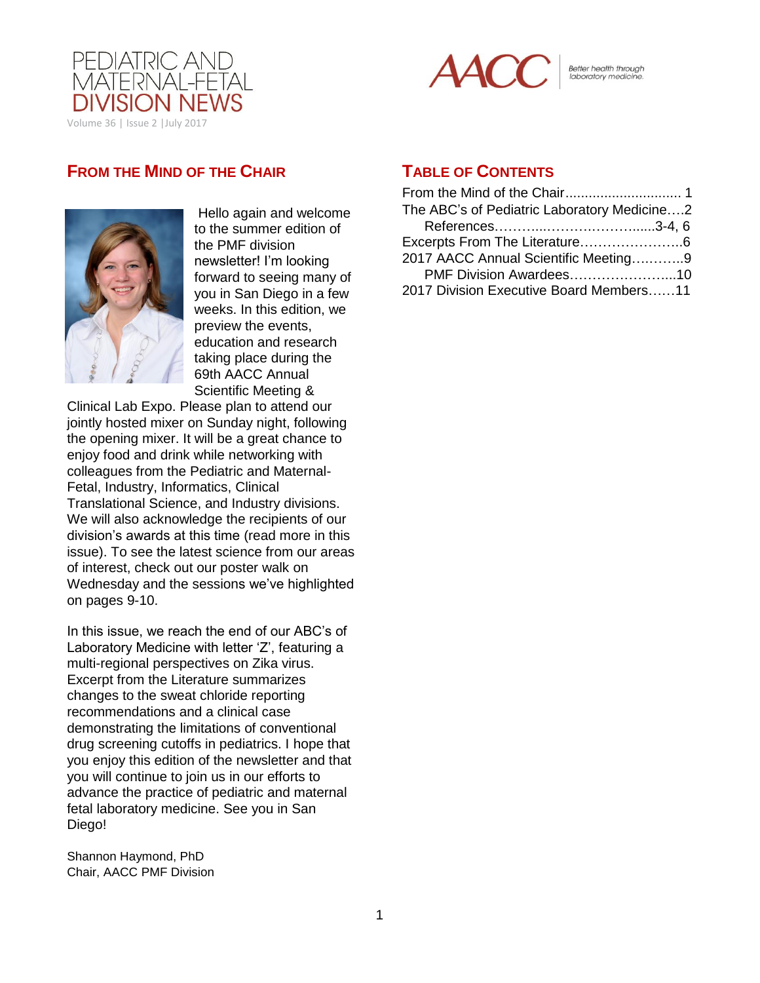



Better health through<br>laboratory medicine.

## **FROM THE MIND OF THE CHAIR**



Hello again and welcome to the summer edition of the PMF division newsletter! I'm looking forward to seeing many of you in San Diego in a few weeks. In this edition, we preview the events, education and research taking place during the 69th AACC Annual Scientific Meeting &

Clinical Lab Expo. Please plan to attend our jointly hosted mixer on Sunday night, following the opening mixer. It will be a great chance to enjoy food and drink while networking with colleagues from the Pediatric and Maternal-Fetal, Industry, Informatics, Clinical Translational Science, and Industry divisions. We will also acknowledge the recipients of our division's awards at this time (read more in this issue). To see the latest science from our areas of interest, check out our poster walk on Wednesday and the sessions we've highlighted on pages 9-10.

In this issue, we reach the end of our ABC's of Laboratory Medicine with letter 'Z', featuring a multi-regional perspectives on Zika virus. Excerpt from the Literature summarizes changes to the sweat chloride reporting recommendations and a clinical case demonstrating the limitations of conventional drug screening cutoffs in pediatrics. I hope that you enjoy this edition of the newsletter and that you will continue to join us in our efforts to advance the practice of pediatric and maternal fetal laboratory medicine. See you in San Diego!

Shannon Haymond, PhD Chair, AACC PMF Division

## **TABLE OF CONTENTS**

| The ABC's of Pediatric Laboratory Medicine2 |  |
|---------------------------------------------|--|
|                                             |  |
|                                             |  |
| 2017 AACC Annual Scientific Meeting9        |  |
| PMF Division Awardees10                     |  |
| 2017 Division Executive Board Members11     |  |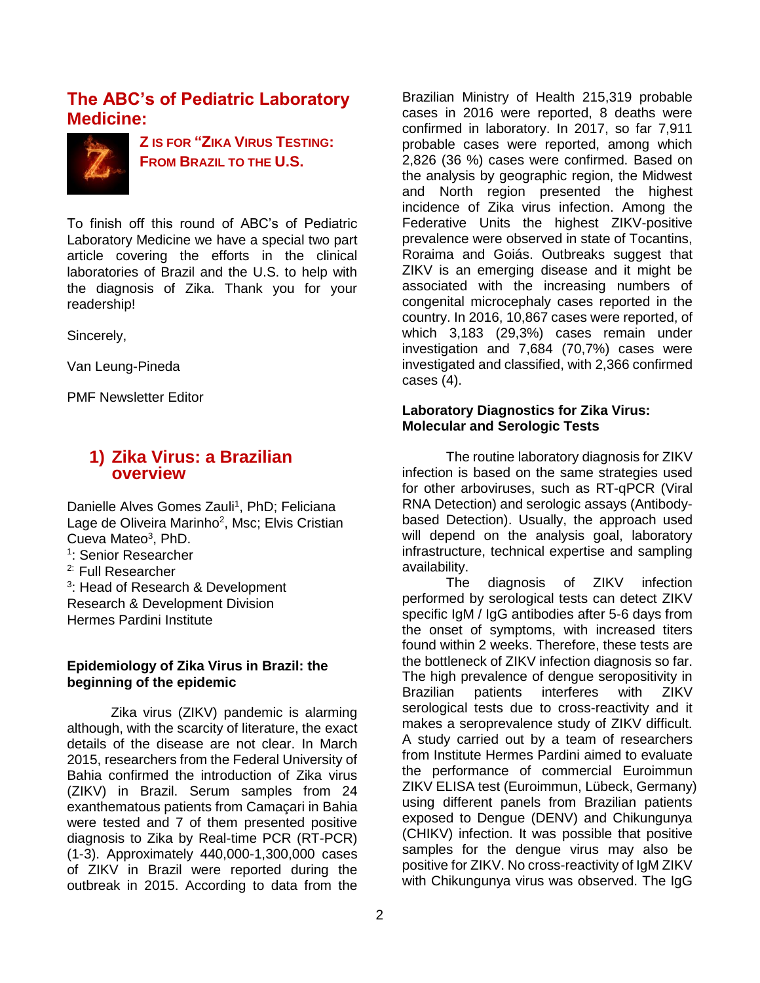## <span id="page-1-0"></span>**The ABC's of Pediatric Laboratory Medicine:**



**Z IS FOR "ZIKA VIRUS TESTING: FROM BRAZIL TO THE U.S.**

To finish off this round of ABC's of Pediatric Laboratory Medicine we have a special two part article covering the efforts in the clinical laboratories of Brazil and the U.S. to help with the diagnosis of Zika. Thank you for your readership!

Sincerely,

Van Leung-Pineda

PMF Newsletter Editor

## **1) Zika Virus: a Brazilian overview**

Danielle Alves Gomes Zauli<sup>1</sup>, PhD; Feliciana Lage de Oliveira Marinho<sup>2</sup>, Msc; Elvis Cristian Cueva Mateo<sup>3</sup>, PhD.

1 : Senior Researcher

2: Full Researcher

<sup>3</sup>: Head of Research & Development Research & Development Division Hermes Pardini Institute

### **Epidemiology of Zika Virus in Brazil: the beginning of the epidemic**

Zika virus (ZIKV) pandemic is alarming although, with the scarcity of literature, the exact details of the disease are not clear. In March 2015, researchers from the Federal University of Bahia confirmed the introduction of Zika virus (ZIKV) in Brazil. Serum samples from 24 exanthematous patients from Camaçari in Bahia were tested and 7 of them presented positive diagnosis to Zika by Real-time PCR (RT-PCR) (1-3). Approximately 440,000-1,300,000 cases of ZIKV in Brazil were reported during the outbreak in 2015. According to data from the

2

Brazilian Ministry of Health 215,319 probable cases in 2016 were reported, 8 deaths were confirmed in laboratory. In 2017, so far 7,911 probable cases were reported, among which 2,826 (36 %) cases were confirmed. Based on the analysis by geographic region, the Midwest and North region presented the highest incidence of Zika virus infection. Among the Federative Units the highest ZIKV-positive prevalence were observed in state of Tocantins, Roraima and Goiás. Outbreaks suggest that ZIKV is an emerging disease and it might be associated with the increasing numbers of congenital microcephaly cases reported in the country. In 2016, 10,867 cases were reported, of which 3,183 (29,3%) cases remain under investigation and 7,684 (70,7%) cases were investigated and classified, with 2,366 confirmed cases (4).

### **Laboratory Diagnostics for Zika Virus: Molecular and Serologic Tests**

The routine laboratory diagnosis for ZIKV infection is based on the same strategies used for other arboviruses, such as RT-qPCR (Viral RNA Detection) and serologic assays (Antibodybased Detection). Usually, the approach used will depend on the analysis goal, laboratory infrastructure, technical expertise and sampling availability.

The diagnosis of ZIKV infection performed by serological tests can detect ZIKV specific IgM / IgG antibodies after 5-6 days from the onset of symptoms, with increased titers found within 2 weeks. Therefore, these tests are the bottleneck of ZIKV infection diagnosis so far. The high prevalence of dengue seropositivity in Brazilian patients interferes with ZIKV serological tests due to cross-reactivity and it makes a seroprevalence study of ZIKV difficult. A study carried out by a team of researchers from Institute Hermes Pardini aimed to evaluate the performance of commercial Euroimmun ZIKV ELISA test (Euroimmun, Lübeck, Germany) using different panels from Brazilian patients exposed to Dengue (DENV) and Chikungunya (CHIKV) infection. It was possible that positive samples for the dengue virus may also be positive for ZIKV. No cross-reactivity of IgM ZIKV with Chikungunya virus was observed. The IgG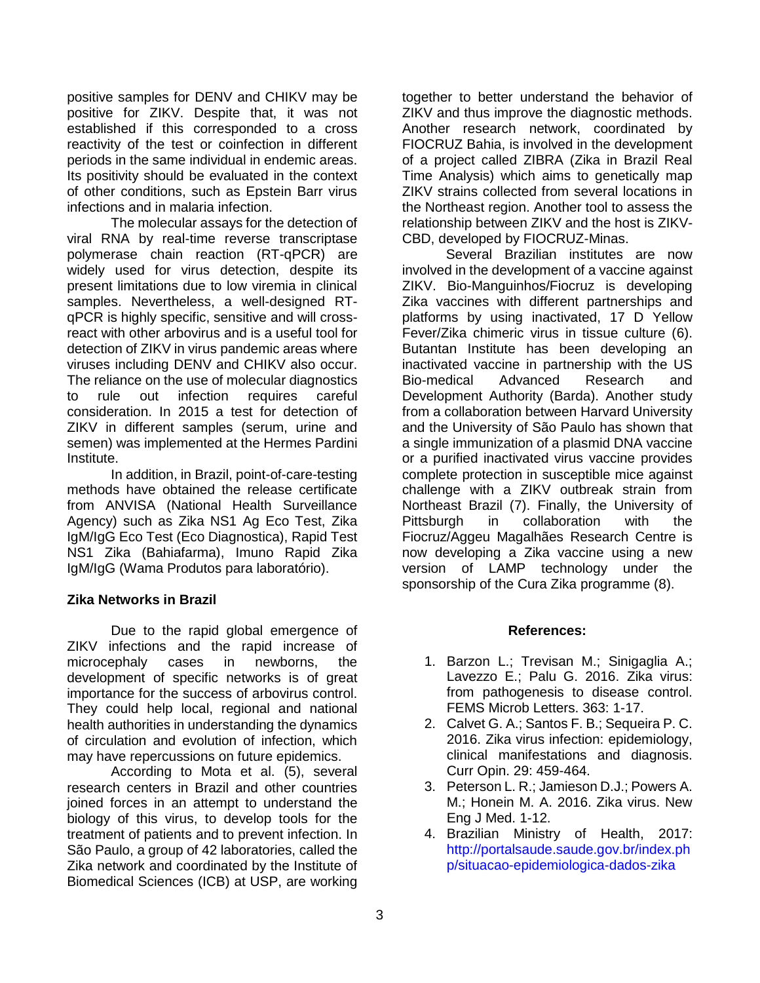<span id="page-2-0"></span>positive samples for DENV and CHIKV may be positive for ZIKV. Despite that, it was not established if this corresponded to a cross reactivity of the test or coinfection in different periods in the same individual in endemic areas. Its positivity should be evaluated in the context of other conditions, such as Epstein Barr virus infections and in malaria infection.

The molecular assays for the detection of viral RNA by real-time reverse transcriptase polymerase chain reaction (RT-qPCR) are widely used for virus detection, despite its present limitations due to low viremia in clinical samples. Nevertheless, a well-designed RTqPCR is highly specific, sensitive and will crossreact with other arbovirus and is a useful tool for detection of ZIKV in virus pandemic areas where viruses including DENV and CHIKV also occur. The reliance on the use of molecular diagnostics to rule out infection requires careful consideration. In 2015 a test for detection of ZIKV in different samples (serum, urine and semen) was implemented at the Hermes Pardini Institute.

In addition, in Brazil, point-of-care-testing methods have obtained the release certificate from ANVISA (National Health Surveillance Agency) such as Zika NS1 Ag Eco Test, Zika IgM/IgG Eco Test (Eco Diagnostica), Rapid Test NS1 Zika (Bahiafarma), Imuno Rapid Zika IgM/IgG (Wama Produtos para laboratório).

### **Zika Networks in Brazil**

Due to the rapid global emergence of ZIKV infections and the rapid increase of microcephaly cases in newborns, the development of specific networks is of great importance for the success of arbovirus control. They could help local, regional and national health authorities in understanding the dynamics of circulation and evolution of infection, which may have repercussions on future epidemics.

According to Mota et al. (5), several research centers in Brazil and other countries joined forces in an attempt to understand the biology of this virus, to develop tools for the treatment of patients and to prevent infection. In São Paulo, a group of 42 laboratories, called the Zika network and coordinated by the Institute of Biomedical Sciences (ICB) at USP, are working

together to better understand the behavior of ZIKV and thus improve the diagnostic methods. Another research network, coordinated by FIOCRUZ Bahia, is involved in the development of a project called ZIBRA (Zika in Brazil Real Time Analysis) which aims to genetically map ZIKV strains collected from several locations in the Northeast region. Another tool to assess the relationship between ZIKV and the host is ZIKV-CBD, developed by FIOCRUZ-Minas.

Several Brazilian institutes are now involved in the development of a vaccine against ZIKV. Bio-Manguinhos/Fiocruz is developing Zika vaccines with different partnerships and platforms by using inactivated, 17 D Yellow Fever/Zika chimeric virus in tissue culture (6). Butantan Institute has been developing an inactivated vaccine in partnership with the US Bio-medical Advanced Research and Development Authority (Barda). Another study from a collaboration between Harvard University and the University of São Paulo has shown that a single immunization of a plasmid DNA vaccine or a purified inactivated virus vaccine provides complete protection in susceptible mice against challenge with a ZIKV outbreak strain from Northeast Brazil (7). Finally, the University of Pittsburgh in collaboration with the Fiocruz/Aggeu Magalhães Research Centre is now developing a Zika vaccine using a new version of LAMP technology under the sponsorship of the Cura Zika programme (8).

#### **References:**

- 1. Barzon L.; Trevisan M.; Sinigaglia A.; Lavezzo E.; Palu G. 2016. Zika virus: from pathogenesis to disease control. FEMS Microb Letters. 363: 1-17.
- 2. Calvet G. A.; Santos F. B.; Sequeira P. C. 2016. Zika virus infection: epidemiology, clinical manifestations and diagnosis. Curr Opin. 29: 459-464.
- 3. Peterson L. R.; Jamieson D.J.; Powers A. M.; Honein M. A. 2016. Zika virus. New Eng J Med. 1-12.
- 4. Brazilian Ministry of Health, 2017: [http://portalsaude.saude.gov.br/index.ph](http://portalsaude.saude.gov.br/index.php/situacao-epidemiologica-dados-zika) [p/situacao-epidemiologica-dados-zika](http://portalsaude.saude.gov.br/index.php/situacao-epidemiologica-dados-zika)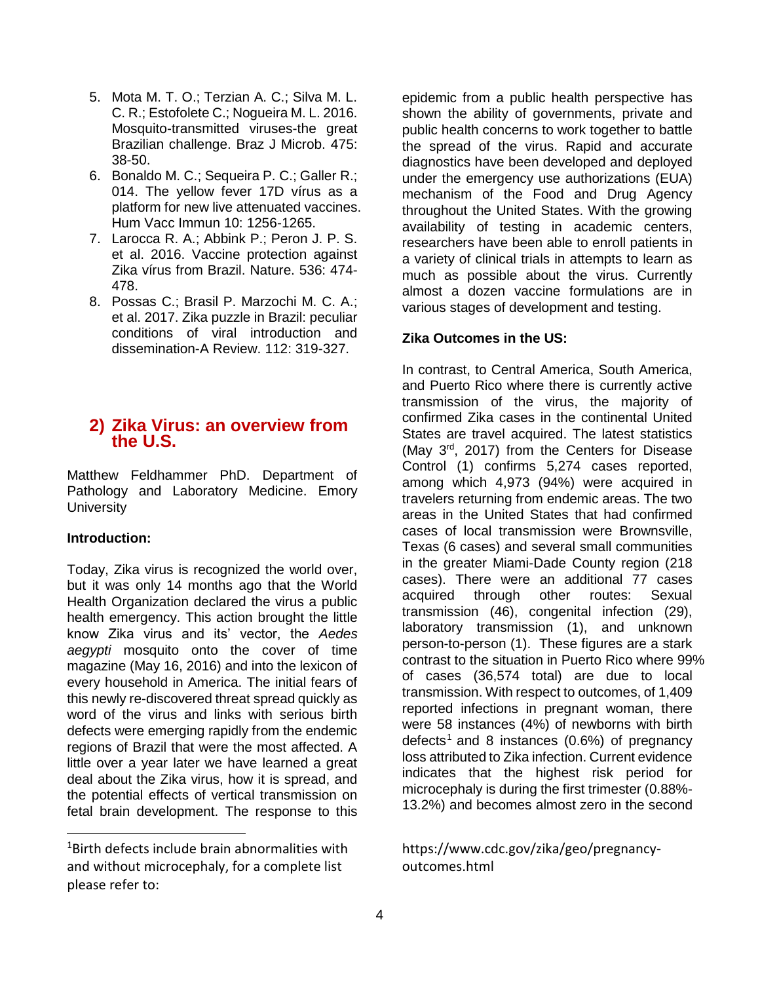- 5. Mota M. T. O.; Terzian A. C.; Silva M. L. C. R.; Estofolete C.; Nogueira M. L. 2016. Mosquito-transmitted viruses-the great Brazilian challenge. Braz J Microb. 475: 38-50.
- 6. Bonaldo M. C.; Sequeira P. C.; Galler R.; 014. The yellow fever 17D vírus as a platform for new live attenuated vaccines. Hum Vacc Immun 10: 1256-1265.
- 7. Larocca R. A.; Abbink P.; Peron J. P. S. et al. 2016. Vaccine protection against Zika vírus from Brazil. Nature. 536: 474- 478.
- 8. Possas C.; Brasil P. Marzochi M. C. A.; et al. 2017. Zika puzzle in Brazil: peculiar conditions of viral introduction and dissemination-A Review. 112: 319-327.

## **2) Zika Virus: an overview from the U.S.**

Matthew Feldhammer PhD. Department of Pathology and Laboratory Medicine. Emory **University** 

### **Introduction:**

 $\overline{a}$ 

Today, Zika virus is recognized the world over, but it was only 14 months ago that the World Health Organization declared the virus a public health emergency. This action brought the little know Zika virus and its' vector, the *Aedes aegypti* mosquito onto the cover of time magazine (May 16, 2016) and into the lexicon of every household in America. The initial fears of this newly re-discovered threat spread quickly as word of the virus and links with serious birth defects were emerging rapidly from the endemic regions of Brazil that were the most affected. A little over a year later we have learned a great deal about the Zika virus, how it is spread, and the potential effects of vertical transmission on fetal brain development. The response to this

epidemic from a public health perspective has shown the ability of governments, private and public health concerns to work together to battle the spread of the virus. Rapid and accurate diagnostics have been developed and deployed under the emergency use authorizations (EUA) mechanism of the Food and Drug Agency throughout the United States. With the growing availability of testing in academic centers, researchers have been able to enroll patients in a variety of clinical trials in attempts to learn as much as possible about the virus. Currently almost a dozen vaccine formulations are in various stages of development and testing.

### **Zika Outcomes in the US:**

In contrast, to Central America, South America, and Puerto Rico where there is currently active transmission of the virus, the majority of confirmed Zika cases in the continental United States are travel acquired. The latest statistics (May 3rd, 2017) from the Centers for Disease Control (1) confirms 5,274 cases reported, among which 4,973 (94%) were acquired in travelers returning from endemic areas. The two areas in the United States that had confirmed cases of local transmission were Brownsville, Texas (6 cases) and several small communities in the greater Miami-Dade County region (218 cases). There were an additional 77 cases acquired through other routes: Sexual transmission (46), congenital infection (29), laboratory transmission (1), and unknown person-to-person (1). These figures are a stark contrast to the situation in Puerto Rico where 99% of cases (36,574 total) are due to local transmission. With respect to outcomes, of 1,409 reported infections in pregnant woman, there were 58 instances (4%) of newborns with birth defects<sup>1</sup> and 8 instances  $(0.6%)$  of pregnancy loss attributed to Zika infection. Current evidence indicates that the highest risk period for microcephaly is during the first trimester (0.88%- 13.2%) and becomes almost zero in the second

## https://www.cdc.gov/zika/geo/pregnancyoutcomes.html

 $1$ Birth defects include brain abnormalities with and without microcephaly, for a complete list please refer to: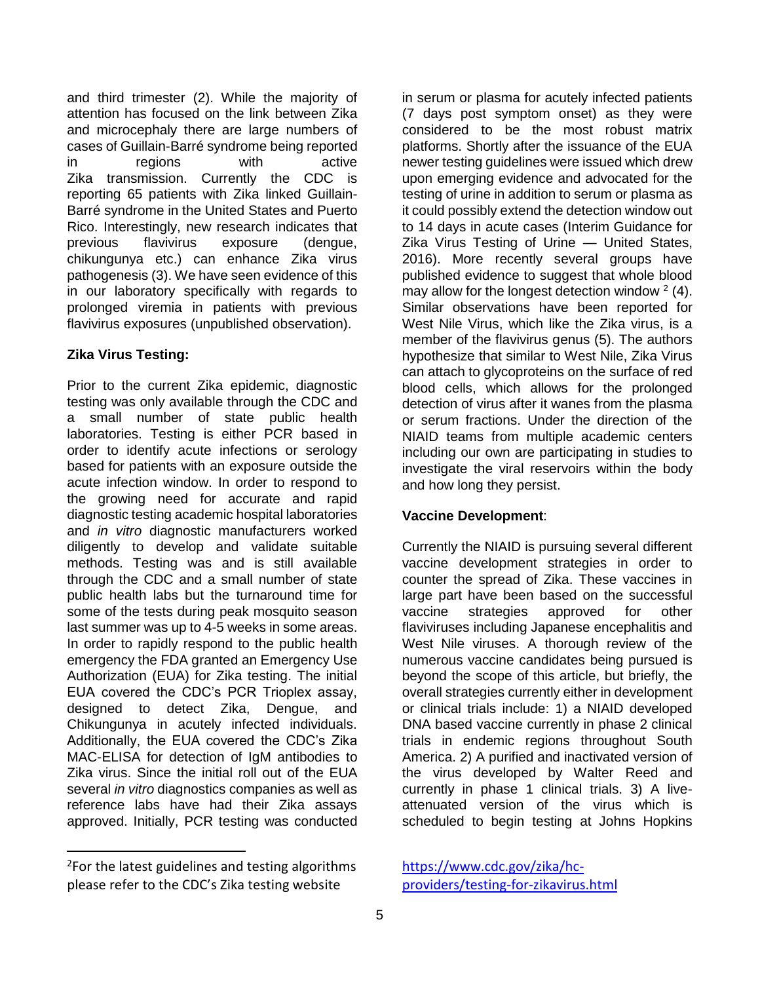and third trimester (2). While the majority of attention has focused on the link between Zika and microcephaly there are large numbers of cases of Guillain-Barré syndrome being reported in regions with active Zika transmission. Currently the CDC is reporting 65 patients with Zika linked Guillain-Barré syndrome in the United States and Puerto Rico. Interestingly, new research indicates that previous flavivirus exposure (dengue, chikungunya etc.) can enhance Zika virus pathogenesis (3). We have seen evidence of this in our laboratory specifically with regards to prolonged viremia in patients with previous flavivirus exposures (unpublished observation).

## **Zika Virus Testing:**

Prior to the current Zika epidemic, diagnostic testing was only available through the CDC and a small number of state public health laboratories. Testing is either PCR based in order to identify acute infections or serology based for patients with an exposure outside the acute infection window. In order to respond to the growing need for accurate and rapid diagnostic testing academic hospital laboratories and *in vitro* diagnostic manufacturers worked diligently to develop and validate suitable methods. Testing was and is still available through the CDC and a small number of state public health labs but the turnaround time for some of the tests during peak mosquito season last summer was up to 4-5 weeks in some areas. In order to rapidly respond to the public health emergency the FDA granted an Emergency Use Authorization (EUA) for Zika testing. The initial EUA covered the CDC's PCR Trioplex assay, designed to detect Zika, Dengue, and Chikungunya in acutely infected individuals. Additionally, the EUA covered the CDC's Zika MAC-ELISA for detection of IgM antibodies to Zika virus. Since the initial roll out of the EUA several *in vitro* diagnostics companies as well as reference labs have had their Zika assays approved. Initially, PCR testing was conducted

 $\overline{a}$ 

in serum or plasma for acutely infected patients (7 days post symptom onset) as they were considered to be the most robust matrix platforms. Shortly after the issuance of the EUA newer testing guidelines were issued which drew upon emerging evidence and advocated for the testing of urine in addition to serum or plasma as it could possibly extend the detection window out to 14 days in acute cases (Interim Guidance for Zika Virus Testing of Urine — United States, 2016). More recently several groups have published evidence to suggest that whole blood may allow for the longest detection window  $2$  (4). Similar observations have been reported for West Nile Virus, which like the Zika virus, is a member of the flavivirus genus (5). The authors hypothesize that similar to West Nile, Zika Virus can attach to glycoproteins on the surface of red blood cells, which allows for the prolonged detection of virus after it wanes from the plasma or serum fractions. Under the direction of the NIAID teams from multiple academic centers including our own are participating in studies to investigate the viral reservoirs within the body and how long they persist.

## **Vaccine Development**:

Currently the NIAID is pursuing several different vaccine development strategies in order to counter the spread of Zika. These vaccines in large part have been based on the successful vaccine strategies approved for other flaviviruses including Japanese encephalitis and West Nile viruses. A thorough review of the numerous vaccine candidates being pursued is beyond the scope of this article, but briefly, the overall strategies currently either in development or clinical trials include: 1) a NIAID developed DNA based vaccine currently in phase 2 clinical trials in endemic regions throughout South America. 2) A purified and inactivated version of the virus developed by Walter Reed and currently in phase 1 clinical trials. 3) A liveattenuated version of the virus which is scheduled to begin testing at Johns Hopkins

<sup>&</sup>lt;sup>2</sup>For the latest guidelines and testing algorithms please refer to the CDC's Zika testing website

[https://www.cdc.gov/zika/hc](https://www.cdc.gov/zika/hc-providers/testing-for-zikavirus.html)[providers/testing-for-zikavirus.html](https://www.cdc.gov/zika/hc-providers/testing-for-zikavirus.html)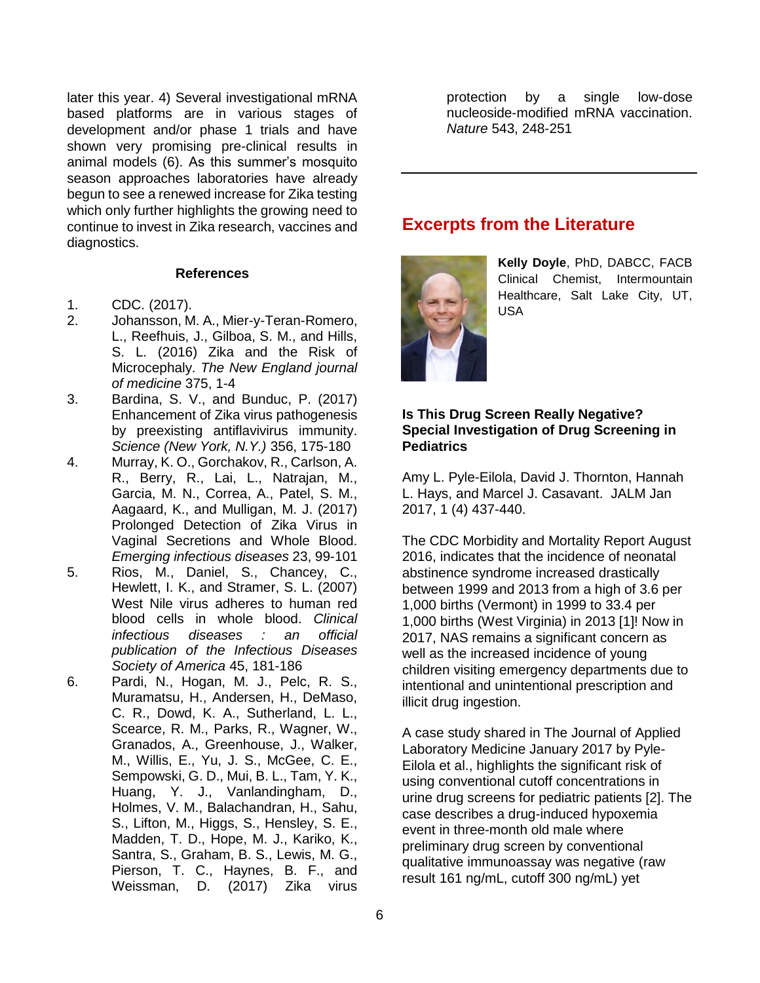<span id="page-5-0"></span>later this year. 4) Several investigational mRNA based platforms are in various stages of development and/or phase 1 trials and have shown very promising pre-clinical results in animal models (6). As this summer's mosquito season approaches laboratories have already begun to see a renewed increase for Zika testing which only further highlights the growing need to continue to invest in Zika research, vaccines and diagnostics.

#### **References**

- 1. CDC. (2017).
- 2. Johansson, M. A., Mier-y-Teran-Romero, L., Reefhuis, J., Gilboa, S. M., and Hills, S. L. (2016) Zika and the Risk of Microcephaly. *The New England journal of medicine* 375, 1-4
- 3. Bardina, S. V., and Bunduc, P. (2017) Enhancement of Zika virus pathogenesis by preexisting antiflavivirus immunity. *Science (New York, N.Y.)* 356, 175-180
- 4. Murray, K. O., Gorchakov, R., Carlson, A. R., Berry, R., Lai, L., Natrajan, M., Garcia, M. N., Correa, A., Patel, S. M., Aagaard, K., and Mulligan, M. J. (2017) Prolonged Detection of Zika Virus in Vaginal Secretions and Whole Blood. *Emerging infectious diseases* 23, 99-101
- 5. Rios, M., Daniel, S., Chancey, C., Hewlett, I. K., and Stramer, S. L. (2007) West Nile virus adheres to human red blood cells in whole blood. *Clinical infectious diseases : an official publication of the Infectious Diseases Society of America* 45, 181-186
- 6. Pardi, N., Hogan, M. J., Pelc, R. S., Muramatsu, H., Andersen, H., DeMaso, C. R., Dowd, K. A., Sutherland, L. L., Scearce, R. M., Parks, R., Wagner, W., Granados, A., Greenhouse, J., Walker, M., Willis, E., Yu, J. S., McGee, C. E., Sempowski, G. D., Mui, B. L., Tam, Y. K., Huang, Y. J., Vanlandingham, D., Holmes, V. M., Balachandran, H., Sahu, S., Lifton, M., Higgs, S., Hensley, S. E., Madden, T. D., Hope, M. J., Kariko, K., Santra, S., Graham, B. S., Lewis, M. G., Pierson, T. C., Haynes, B. F., and Weissman, D. (2017) Zika virus

protection by a single low-dose nucleoside-modified mRNA vaccination. *Nature* 543, 248-251

## **Excerpts from the Literature**



**Kelly Doyle**, PhD, DABCC, FACB Clinical Chemist, Intermountain Healthcare, Salt Lake City, UT, USA

#### **Is This Drug Screen Really Negative? Special Investigation of Drug Screening in Pediatrics**

Amy L. Pyle-Eilola, David J. Thornton, Hannah L. Hays, and Marcel J. Casavant. JALM Jan 2017, 1 (4) 437-440.

The CDC Morbidity and Mortality Report August 2016, indicates that the incidence of neonatal abstinence syndrome increased drastically between 1999 and 2013 from a high of 3.6 per 1,000 births (Vermont) in 1999 to 33.4 per 1,000 births (West Virginia) in 2013 [1]! Now in 2017, NAS remains a significant concern as well as the increased incidence of young children visiting emergency departments due to intentional and unintentional prescription and illicit drug ingestion.

A case study shared in The Journal of Applied Laboratory Medicine January 2017 by Pyle-Eilola et al., highlights the significant risk of using conventional cutoff concentrations in urine drug screens for pediatric patients [2]. The case describes a drug-induced hypoxemia event in three-month old male where preliminary drug screen by conventional qualitative immunoassay was negative (raw result 161 ng/mL, cutoff 300 ng/mL) yet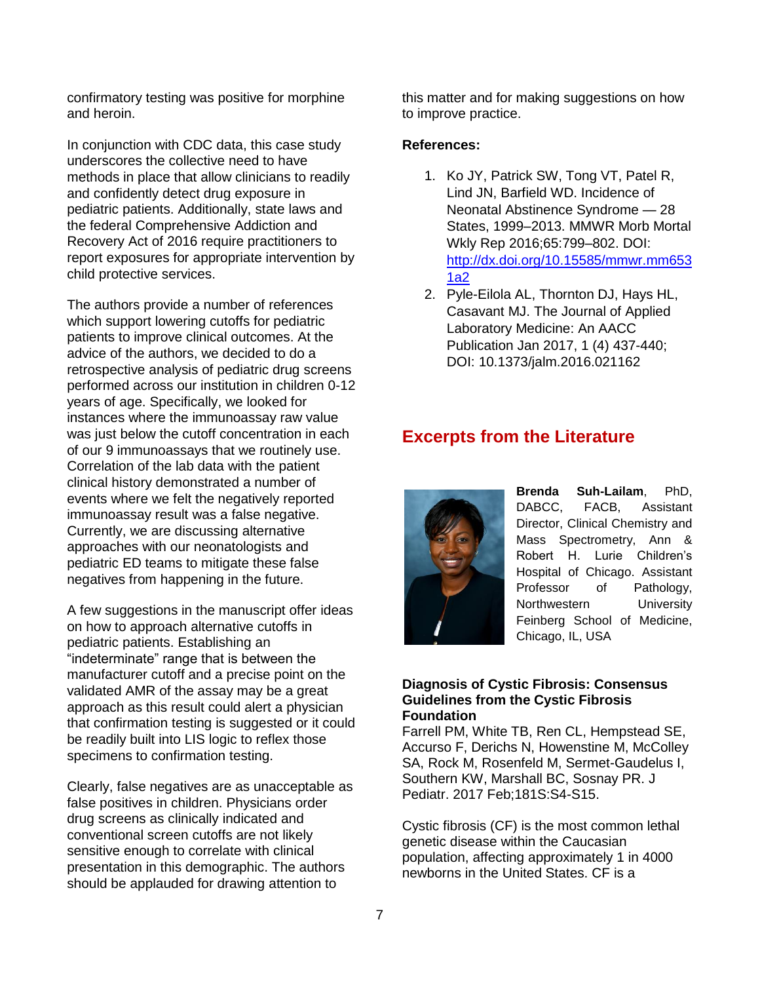confirmatory testing was positive for morphine and heroin.

In conjunction with CDC data, this case study underscores the collective need to have methods in place that allow clinicians to readily and confidently detect drug exposure in pediatric patients. Additionally, state laws and the federal Comprehensive Addiction and Recovery Act of 2016 require practitioners to report exposures for appropriate intervention by child protective services.

The authors provide a number of references which support lowering cutoffs for pediatric patients to improve clinical outcomes. At the advice of the authors, we decided to do a retrospective analysis of pediatric drug screens performed across our institution in children 0-12 years of age. Specifically, we looked for instances where the immunoassay raw value was just below the cutoff concentration in each of our 9 immunoassays that we routinely use. Correlation of the lab data with the patient clinical history demonstrated a number of events where we felt the negatively reported immunoassay result was a false negative. Currently, we are discussing alternative approaches with our neonatologists and pediatric ED teams to mitigate these false negatives from happening in the future.

A few suggestions in the manuscript offer ideas on how to approach alternative cutoffs in pediatric patients. Establishing an "indeterminate" range that is between the manufacturer cutoff and a precise point on the validated AMR of the assay may be a great approach as this result could alert a physician that confirmation testing is suggested or it could be readily built into LIS logic to reflex those specimens to confirmation testing.

Clearly, false negatives are as unacceptable as false positives in children. Physicians order drug screens as clinically indicated and conventional screen cutoffs are not likely sensitive enough to correlate with clinical presentation in this demographic. The authors should be applauded for drawing attention to

this matter and for making suggestions on how to improve practice.

#### **References:**

- 1. Ko JY, Patrick SW, Tong VT, Patel R, Lind JN, Barfield WD. Incidence of Neonatal Abstinence Syndrome — 28 States, 1999–2013. MMWR Morb Mortal Wkly Rep 2016;65:799–802. DOI: [http://dx.doi.org/10.15585/mmwr.mm653](http://dx.doi.org/10.15585/mmwr.mm6531a2) [1a2](http://dx.doi.org/10.15585/mmwr.mm6531a2)
- 2. Pyle-Eilola AL, Thornton DJ, Hays HL, Casavant MJ. The Journal of Applied Laboratory Medicine: An AACC Publication Jan 2017, 1 (4) 437-440; DOI: 10.1373/jalm.2016.021162

## **Excerpts from the Literature**



**Brenda Suh-Lailam**, PhD, DABCC, FACB, Assistant Director, Clinical Chemistry and Mass Spectrometry, Ann & Robert H. Lurie Children's Hospital of Chicago. Assistant Professor of Pathology, Northwestern University Feinberg School of Medicine, Chicago, IL, USA

#### **Diagnosis of Cystic Fibrosis: Consensus Guidelines from the Cystic Fibrosis Foundation**

Farrell PM, White TB, Ren CL, Hempstead SE, Accurso F, Derichs N, Howenstine M, McColley SA, Rock M, Rosenfeld M, Sermet-Gaudelus I, Southern KW, Marshall BC, Sosnay PR. J Pediatr. 2017 Feb;181S:S4-S15.

Cystic fibrosis (CF) is the most common lethal genetic disease within the Caucasian population, affecting approximately 1 in 4000 newborns in the United States. CF is a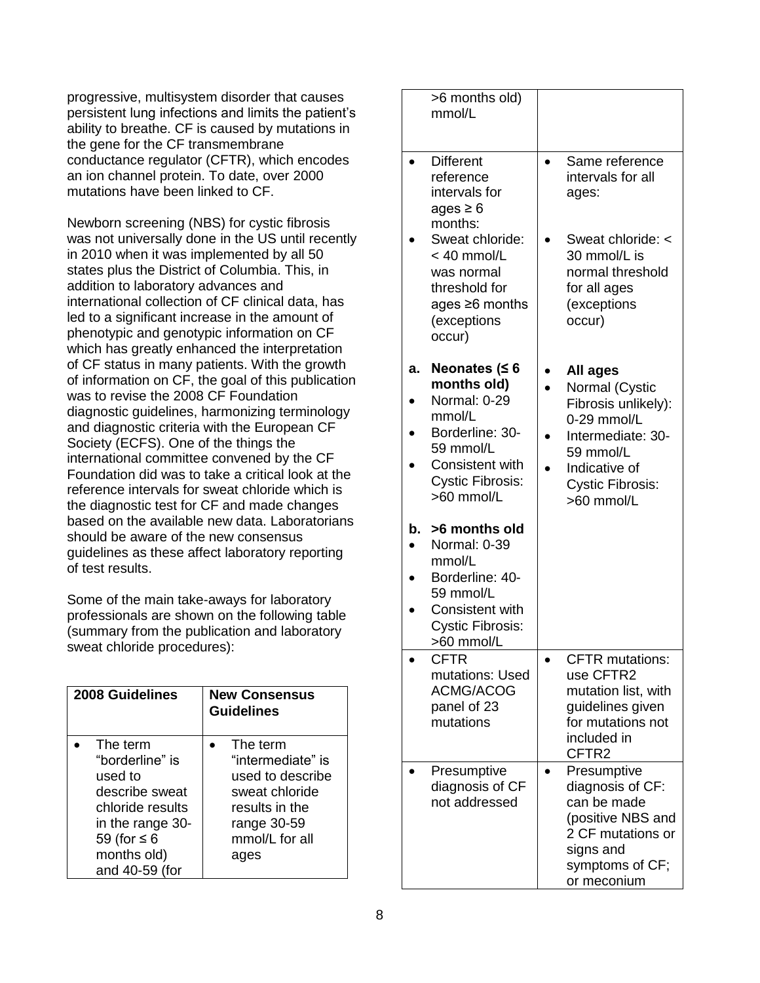progressive, multisystem disorder that causes persistent lung infections and limits the patient's ability to breathe. CF is caused by mutations in the gene for the CF transmembrane conductance regulator (CFTR), which encodes an ion channel protein. To date, over 2000 mutations have been linked to CF.

Newborn screening (NBS) for cystic fibrosis was not universally done in the US until recently in 2010 when it was implemented by all 50 states plus the District of Columbia. This, in addition to laboratory advances and international collection of CF clinical data, has led to a significant increase in the amount of phenotypic and genotypic information on CF which has greatly enhanced the interpretation of CF status in many patients. With the growth of information on CF, the goal of this publication was to revise the 2008 CF Foundation diagnostic guidelines, harmonizing terminology and diagnostic criteria with the European CF Society (ECFS). One of the things the international committee convened by the CF Foundation did was to take a critical look at the reference intervals for sweat chloride which is the diagnostic test for CF and made changes based on the available new data. Laboratorians should be aware of the new consensus guidelines as these affect laboratory reporting of test results.

Some of the main take-aways for laboratory professionals are shown on the following table (summary from the publication and laboratory sweat chloride procedures):

| 2008 Guidelines                                                                                                                                       | <b>New Consensus</b><br><b>Guidelines</b>                                                                                      |
|-------------------------------------------------------------------------------------------------------------------------------------------------------|--------------------------------------------------------------------------------------------------------------------------------|
| The term<br>"borderline" is<br>used to<br>describe sweat<br>chloride results<br>in the range 30-<br>59 (for $\leq 6$<br>months old)<br>and 40-59 (for | The term<br>"intermediate" is<br>used to describe<br>sweat chloride<br>results in the<br>range 30-59<br>mmol/L for all<br>ages |

|    | >6 months old)<br>mmol/L                                                                                         |                                                                                                                                         |
|----|------------------------------------------------------------------------------------------------------------------|-----------------------------------------------------------------------------------------------------------------------------------------|
|    | <b>Different</b><br>reference<br>intervals for<br>ages $\geq 6$<br>months:                                       | Same reference<br>intervals for all<br>ages:                                                                                            |
|    | Sweat chloride:<br>$< 40$ mmol/L<br>was normal<br>threshold for<br>ages $\geq 6$ months<br>(exceptions<br>occur) | Sweat chloride: <<br>30 mmol/L is<br>normal threshold<br>for all ages<br>(exceptions<br>occur)                                          |
| а. | Neonates ( $\leq 6$                                                                                              | All ages                                                                                                                                |
|    | months old)<br>Normal: 0-29                                                                                      | Normal (Cystic<br>Fibrosis unlikely):                                                                                                   |
|    | mmol/L<br>Borderline: 30-                                                                                        | 0-29 mmol/L<br>Intermediate: 30-                                                                                                        |
|    | 59 mmol/L<br>Consistent with                                                                                     | 59 mmol/L                                                                                                                               |
|    | <b>Cystic Fibrosis:</b><br>>60 mmol/L                                                                            | Indicative of<br><b>Cystic Fibrosis:</b><br>>60 mmol/L                                                                                  |
| b. | >6 months old<br>Normal: 0-39<br>mmol/L                                                                          |                                                                                                                                         |
|    | Borderline: 40-<br>59 mmol/L                                                                                     |                                                                                                                                         |
|    | <b>Consistent with</b><br><b>Cystic Fibrosis:</b><br>>60 mmol/L                                                  |                                                                                                                                         |
|    | <b>CFTR</b><br>mutations: Used                                                                                   | <b>CFTR</b> mutations:<br>use CFTR2                                                                                                     |
|    | <b>ACMG/ACOG</b>                                                                                                 | mutation list, with                                                                                                                     |
|    | panel of 23<br>mutations                                                                                         | guidelines given<br>for mutations not                                                                                                   |
|    |                                                                                                                  | included in<br>CFTR2                                                                                                                    |
|    | Presumptive<br>diagnosis of CF<br>not addressed                                                                  | Presumptive<br>diagnosis of CF:<br>can be made<br>(positive NBS and<br>2 CF mutations or<br>signs and<br>symptoms of CF;<br>or meconium |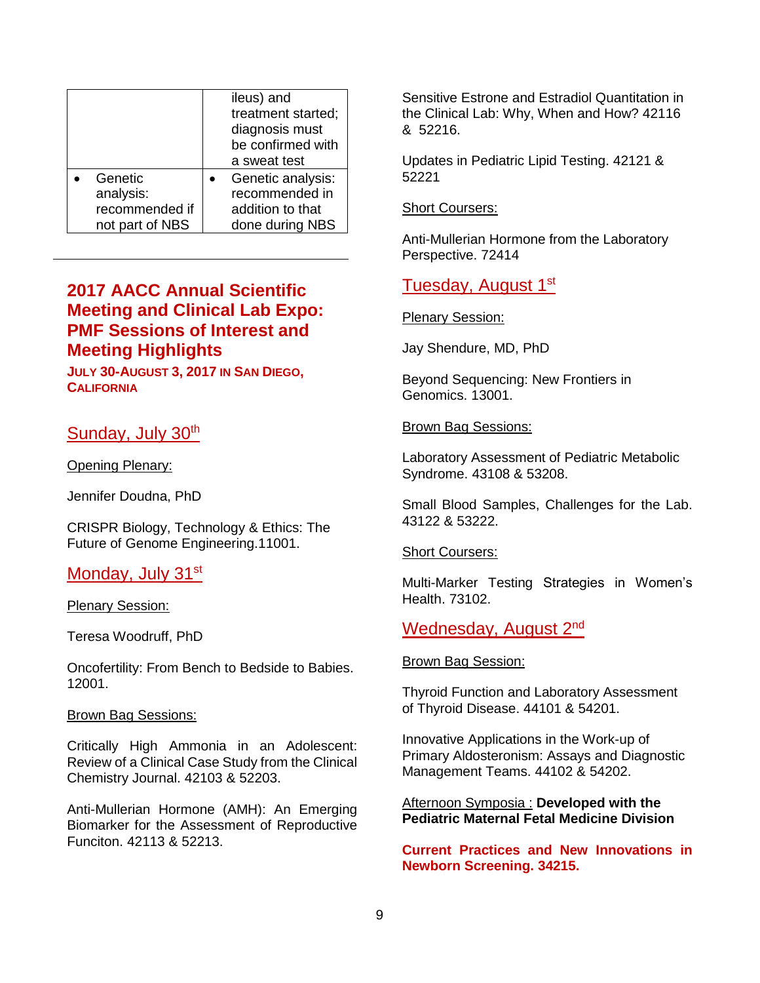<span id="page-8-0"></span>

|                 | ileus) and<br>treatment started;<br>diagnosis must<br>be confirmed with<br>a sweat test |
|-----------------|-----------------------------------------------------------------------------------------|
| Genetic         | Genetic analysis:                                                                       |
| analysis:       | recommended in                                                                          |
| recommended if  | addition to that                                                                        |
| not part of NBS | done during NBS                                                                         |

# **2017 AACC Annual Scientific Meeting and Clinical Lab Expo: PMF Sessions of Interest and Meeting Highlights**

**JULY 30-AUGUST 3, 2017 IN SAN DIEGO, CALIFORNIA**

# Sunday, July 30<sup>th</sup>

Opening Plenary:

Jennifer Doudna, PhD

CRISPR Biology, Technology & Ethics: The Future of Genome Engineering.11001.

## Monday, July 31<sup>st</sup>

Plenary Session:

Teresa Woodruff, PhD

Oncofertility: From Bench to Bedside to Babies. 12001.

### Brown Bag Sessions:

Critically High Ammonia in an Adolescent: Review of a Clinical Case Study from the Clinical Chemistry Journal. 42103 & 52203.

Anti-Mullerian Hormone (AMH): An Emerging Biomarker for the Assessment of Reproductive Funciton. 42113 & 52213.

Sensitive Estrone and Estradiol Quantitation in the Clinical Lab: Why, When and How? 42116 & 52216.

Updates in Pediatric Lipid Testing. 42121 & 52221

Short Coursers:

Anti-Mullerian Hormone from the Laboratory Perspective. 72414

# Tuesday, August 1<sup>st</sup>

Plenary Session:

Jay Shendure, MD, PhD

Beyond Sequencing: New Frontiers in Genomics. 13001.

### Brown Bag Sessions:

Laboratory Assessment of Pediatric Metabolic Syndrome. 43108 & 53208.

Small Blood Samples, Challenges for the Lab. 43122 & 53222.

#### **Short Coursers:**

Multi-Marker Testing Strategies in Women's Health. 73102.

## Wednesday, August 2<sup>nd</sup>

### Brown Bag Session:

Thyroid Function and Laboratory Assessment of Thyroid Disease. 44101 & 54201.

Innovative Applications in the Work-up of Primary Aldosteronism: Assays and Diagnostic Management Teams. 44102 & 54202.

Afternoon Symposia : **Developed with the Pediatric Maternal Fetal Medicine Division**

**Current Practices and New Innovations in Newborn Screening. 34215.**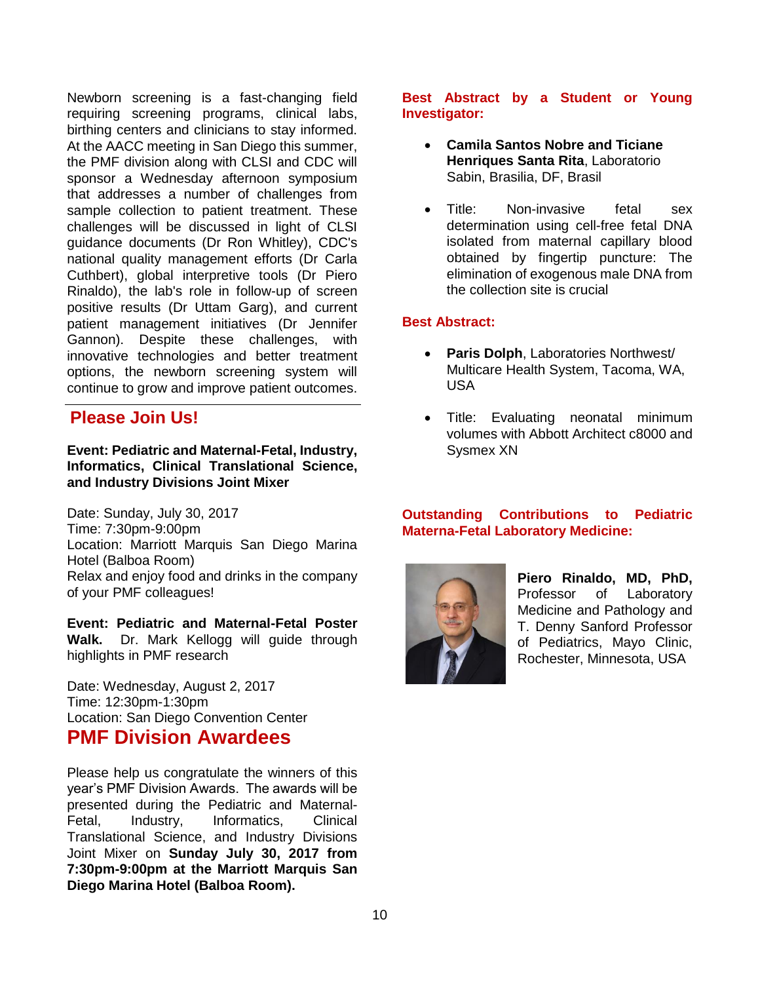<span id="page-9-0"></span>Newborn screening is a fast-changing field requiring screening programs, clinical labs, birthing centers and clinicians to stay informed. At the AACC meeting in San Diego this summer, the PMF division along with CLSI and CDC will sponsor a Wednesday afternoon symposium that addresses a number of challenges from sample collection to patient treatment. These challenges will be discussed in light of CLSI guidance documents (Dr Ron Whitley), CDC's national quality management efforts (Dr Carla Cuthbert), global interpretive tools (Dr Piero Rinaldo), the lab's role in follow-up of screen positive results (Dr Uttam Garg), and current patient management initiatives (Dr Jennifer Gannon). Despite these challenges, with innovative technologies and better treatment options, the newborn screening system will continue to grow and improve patient outcomes.

# **Please Join Us!**

### **Event: Pediatric and Maternal-Fetal, Industry, Informatics, Clinical Translational Science, and Industry Divisions Joint Mixer**

Date: Sunday, July 30, 2017 Time: 7:30pm-9:00pm Location: Marriott Marquis San Diego Marina Hotel (Balboa Room) Relax and enjoy food and drinks in the company of your PMF colleagues!

**Event: Pediatric and Maternal-Fetal Poster Walk.** Dr. Mark Kellogg will guide through highlights in PMF research

Date: Wednesday, August 2, 2017 Time: 12:30pm-1:30pm Location: San Diego Convention Center

# **PMF Division Awardees**

Please help us congratulate the winners of this year's PMF Division Awards. The awards will be presented during the Pediatric and Maternal-Fetal, Industry, Informatics, Clinical Translational Science, and Industry Divisions Joint Mixer on **Sunday July 30, 2017 from 7:30pm-9:00pm at the Marriott Marquis San Diego Marina Hotel (Balboa Room).**

### **Best Abstract by a Student or Young Investigator:**

- **Camila Santos Nobre and Ticiane Henriques Santa Rita**, Laboratorio Sabin, Brasilia, DF, Brasil
- Title: Non-invasive fetal sex determination using cell-free fetal DNA isolated from maternal capillary blood obtained by fingertip puncture: The elimination of exogenous male DNA from the collection site is crucial

## **Best Abstract:**

- **Paris Dolph**, Laboratories Northwest/ Multicare Health System, Tacoma, WA, USA
- Title: Evaluating neonatal minimum volumes with Abbott Architect c8000 and Sysmex XN

### **Outstanding Contributions to Pediatric Materna-Fetal Laboratory Medicine:**



**Piero Rinaldo, MD, PhD,**  Professor of Laboratory Medicine and Pathology and T. Denny Sanford Professor of Pediatrics, Mayo Clinic, Rochester, Minnesota, USA